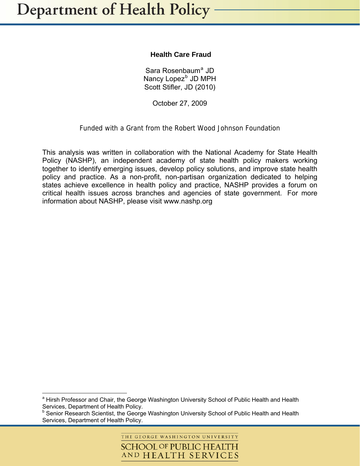## **Health Care Fraud**

S[a](#page-0-0)ra Rosenbaum<sup>a</sup> JD Nancy Lopez<sup>[b](#page-0-1)</sup> JD MPH Scott Stifler, JD (2010)

October 27, 2009

Funded with a Grant from the Robert Wood Johnson Foundation

This analysis was written in collaboration with the National Academy for State Health Policy (NASHP), an independent academy of state health policy makers working together to identify emerging issues, develop policy solutions, and improve state health policy and practice. As a non-profit, non-partisan organization dedicated to helping states achieve excellence in health policy and practice, NASHP provides a forum on critical health issues across branches and agencies of state government. For more information about NASHP, please visit [www.nashp.org](http://www.nashp.org/) 

 $\overline{a}$ 

THE GEORGE WASHINGTON UNIVERSITY

SCHOOL OF PUBLIC HEALTH AND HEALTH SERVICES

<span id="page-0-0"></span><sup>&</sup>lt;sup>a</sup> Hirsh Professor and Chair, the George Washington University School of Public Health and Health

<span id="page-0-1"></span>Services, Department of Health Policy.<br><sup>b</sup> Senior Research Scientist, the George Washington University School of Public Health and Health Services, Department of Health Policy.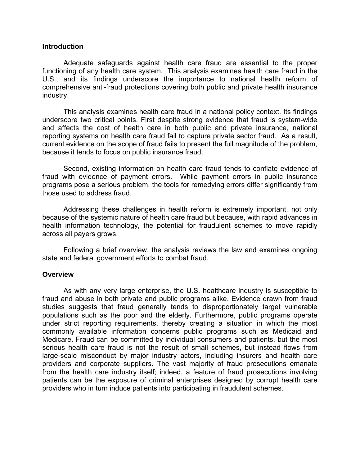#### **Introduction**

 Adequate safeguards against health care fraud are essential to the proper functioning of any health care system. This analysis examines health care fraud in the U.S., and its findings underscore the importance to national health reform of comprehensive anti-fraud protections covering both public and private health insurance industry.

 This analysis examines health care fraud in a national policy context. Its findings underscore two critical points. First despite strong evidence that fraud is system-wide and affects the cost of health care in both public and private insurance, national reporting systems on health care fraud fail to capture private sector fraud. As a result, current evidence on the scope of fraud fails to present the full magnitude of the problem, because it tends to focus on public insurance fraud.

 Second, existing information on health care fraud tends to conflate evidence of fraud with evidence of payment errors. While payment errors in public insurance programs pose a serious problem, the tools for remedying errors differ significantly from those used to address fraud.

 Addressing these challenges in health reform is extremely important, not only because of the systemic nature of health care fraud but because, with rapid advances in health information technology, the potential for fraudulent schemes to move rapidly across all payers grows.

 Following a brief overview, the analysis reviews the law and examines ongoing state and federal government efforts to combat fraud.

#### **Overview**

 As with any very large enterprise, the U.S. healthcare industry is susceptible to fraud and abuse in both private and public programs alike. Evidence drawn from fraud studies suggests that fraud generally tends to disproportionately target vulnerable populations such as the poor and the elderly. Furthermore, public programs operate under strict reporting requirements, thereby creating a situation in which the most commonly available information concerns public programs such as Medicaid and Medicare. Fraud can be committed by individual consumers and patients, but the most serious health care fraud is not the result of small schemes, but instead flows from large-scale misconduct by major industry actors, including insurers and health care providers and corporate suppliers. The vast majority of fraud prosecutions emanate from the health care industry itself; indeed, a feature of fraud prosecutions involving patients can be the exposure of criminal enterprises designed by corrupt health care providers who in turn induce patients into participating in fraudulent schemes.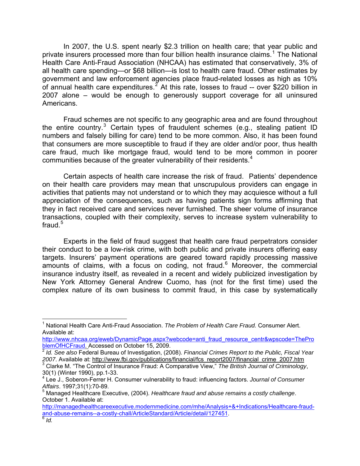In 2007, the U.S. spent nearly \$2.3 trillion on health care; that year public and private insurers processed more than four billion health insurance claims.<sup>[1](#page-2-0)</sup> The National Health Care Anti-Fraud Association (NHCAA) has estimated that conservatively, 3% of all health care spending—or \$68 billion—is lost to health care fraud. Other estimates by government and law enforcement agencies place fraud-related losses as high as 10% of annual health care expenditures.<sup>[2](#page-2-1)</sup> At this rate, losses to fraud -- over \$220 billion in 2007 alone – would be enough to generously support coverage for all uninsured Americans.

Fraud schemes are not specific to any geographic area and are found throughout the entire country.<sup>[3](#page-2-2)</sup> Certain types of fraudulent schemes (e.g., stealing patient ID numbers and falsely billing for care) tend to be more common. Also, it has been found that consumers are more susceptible to fraud if they are older and/or poor, thus health care fraud, much like mortgage fraud, would tend to be more common in poorer communities because of the greater vulnerability of their residents. $4$ 

 Certain aspects of health care increase the risk of fraud. Patients' dependence on their health care providers may mean that unscrupulous providers can engage in activities that patients may not understand or to which they may acquiesce without a full appreciation of the consequences, such as having patients sign forms affirming that they in fact received care and services never furnished. The sheer volume of insurance transactions, coupled with their complexity, serves to increase system vulnerability to fraud.<sup>[5](#page-2-4)</sup>

Experts in the field of fraud suggest that health care fraud perpetrators consider their conduct to be a low-risk crime, with both public and private insurers offering easy targets. Insurers' payment operations are geared toward rapidly processing massive amounts of claims, with a focus on coding, not fraud.<sup>[6](#page-2-5)</sup> Moreover, the commercial insurance industry itself, as revealed in a recent and widely publicized investigation by New York Attorney General Andrew Cuomo, has (not for the first time) used the complex nature of its own business to commit fraud, in this case by systematically

<span id="page-2-0"></span> $\overline{a}$ <sup>1</sup> National Health Care Anti-Fraud Association. *The Problem of Health Care Fraud.* Consumer Alert. Available at:

[http://www.nhcaa.org/eweb/DynamicPage.aspx?webcode=anti\\_fraud\\_resource\\_centr&wpscode=ThePro](http://www.nhcaa.org/eweb/DynamicPage.aspx?webcode=anti_fraud_resource_centr&wpscode=TheProblemOfHCFraud) [blemOfHCFraud.](http://www.nhcaa.org/eweb/DynamicPage.aspx?webcode=anti_fraud_resource_centr&wpscode=TheProblemOfHCFraud) Accessed on October 15, 2009.

<span id="page-2-1"></span><sup>2</sup> *Id. See also* Federal Bureau of Investigation, (2008). *Financial Crimes Report to the Public, Fiscal Year*  2007. Available at: http://www.fbi.gov/publications/financial/fcs\_report2007/financial\_crime\_2007.htm

<span id="page-2-2"></span>Clarke M. "The Control of Insurance Fraud: A Comparative View," *The British Journal of Criminology*, 30(1) (Winter 1990), pp.1-33. 4 Lee J., Soberon-Ferrer H. Consumer vulnerability to fraud: influencing factors. *Journal of Consumer* 

<span id="page-2-3"></span>*Affairs*. 1997;31(1):70-89. 5

<span id="page-2-4"></span>Managed Healthcare Executive, (2004). *Healthcare fraud and abuse remains a costly challenge*. October 1. Available at:

<span id="page-2-5"></span>[http://managedhealthcareexecutive.modernmedicine.com/mhe/Analysis+&+Indications/Healthcare-fraud](http://managedhealthcareexecutive.modernmedicine.com/mhe/Analysis+&+Indications/Healthcare-fraud-and-abuse-remains--a-costly-chall/ArticleStandard/Article/detail/127451)[and-abuse-remains--a-costly-chall/ArticleStandard/Article/detail/127451.](http://managedhealthcareexecutive.modernmedicine.com/mhe/Analysis+&+Indications/Healthcare-fraud-and-abuse-remains--a-costly-chall/ArticleStandard/Article/detail/127451) [6](http://managedhealthcareexecutive.modernmedicine.com/mhe/Analysis+&+Indications/Healthcare-fraud-and-abuse-remains--a-costly-chall/ArticleStandard/Article/detail/127451) *Id.*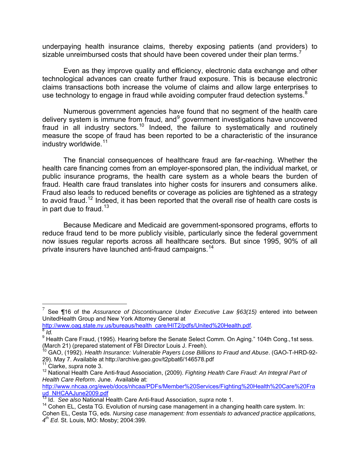underpaying health insurance claims, thereby exposing patients (and providers) to sizable unreimbursed costs that should have been covered under their plan terms.<sup>[7](#page-3-0)</sup>

Even as they improve quality and efficiency, electronic data exchange and other technological advances can create further fraud exposure. This is because electronic claims transactions both increase the volume of claims and allow large enterprises to use technology to engage in fraud while avoiding computer fraud detection systems. $8$ 

Numerous government agencies have found that no segment of the health care delivery system is immune from fraud, and<sup>[9](#page-3-2)</sup> government investigations have uncovered fraud in all industry sectors.<sup>[10](#page-3-3)</sup> Indeed, the failure to systematically and routinely measure the scope of fraud has been reported to be a characteristic of the insurance industry worldwide. $11$ 

 The financial consequences of healthcare fraud are far-reaching. Whether the health care financing comes from an employer-sponsored plan, the individual market, or public insurance programs, the health care system as a whole bears the burden of fraud. Health care fraud translates into higher costs for insurers and consumers alike. Fraud also leads to reduced benefits or coverage as policies are tightened as a strategy to avoid fraud.<sup>[12](#page-3-4)</sup> Indeed, it has been reported that the overall rise of health care costs is in part due to fraud.<sup>[13](#page-3-5)</sup>

Because Medicare and Medicaid are government-sponsored programs, efforts to reduce fraud tend to be more publicly visible, particularly since the federal government now issues regular reports across all healthcare sectors. But since 1995, 90% of all private insurers have launched anti-fraud campaigns.<sup>[14](#page-3-6)</sup>

[http://www.oag.state.ny.us/bureaus/health\\_care/HIT2/pdfs/United%20Health.pdf.](http://www.oag.state.ny.us/bureaus/health_care/HIT2/pdfs/United%20Health.pdf) [8](http://www.oag.state.ny.us/bureaus/health_care/HIT2/pdfs/United%20Health.pdf) *Id.*

 $\overline{a}$ 

<span id="page-3-0"></span><sup>7</sup> See ¶16 of the *Assurance of Discontinuance Under Executive Law §63(15)* entered into between UnitedHealth Group and New York Attorney General at

<span id="page-3-1"></span>

<span id="page-3-2"></span><sup>&</sup>lt;sup>9</sup> Health Care Fraud, (1995). Hearing before the Senate Select Comm. On Aging." 104th Cong.,1st sess. (March 21) (prepared statement of FBI Director Louis J. Freeh).

<span id="page-3-3"></span><sup>10</sup> GAO, (1992). *Health Insurance: Vulnerable Payers Lose Billions to Fraud and Abuse*. (GAO-T-HRD-92- 29). May 7. Available at http://archive.gao.gov/t2pbat6/146578.pdf 11 Clarke, *supra* note 3.

<span id="page-3-4"></span><sup>12</sup> National Health Care Anti-fraud Association, (2009). *Fighting Health Care Fraud: An Integral Part of Health Care Reform*. June. Available at:

[http://www.nhcaa.org/eweb/docs/nhcaa/PDFs/Member%20Services/Fighting%20Health%20Care%20Fra](http://www.nhcaa.org/eweb/docs/nhcaa/PDFs/Member%20Services/Fighting%20Health%20Care%20Fraud_NHCAAJune2009.pdf) [ud\\_NHCAAJune2009.pdf](http://www.nhcaa.org/eweb/docs/nhcaa/PDFs/Member%20Services/Fighting%20Health%20Care%20Fraud_NHCAAJune2009.pdf) [13](http://www.nhcaa.org/eweb/docs/nhcaa/PDFs/Member%20Services/Fighting%20Health%20Care%20Fraud_NHCAAJune2009.pdf) Id. *See also* National Health Care Anti-fraud Association, *supra* note 1.

<span id="page-3-5"></span>

<span id="page-3-6"></span> $14$  Cohen EL, Cesta TG. Evolution of nursing case management in a changing health care system. In: Cohen EL, Cesta TG, eds. *Nursing case management: from essentials to advanced practice applications, 4th Ed.* St. Louis, MO: Mosby; 2004:399.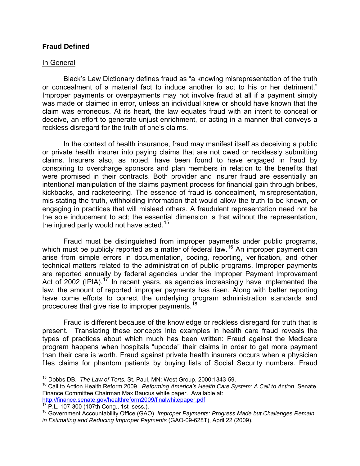## **Fraud Defined**

#### In General

Black's Law Dictionary defines fraud as "a knowing misrepresentation of the truth or concealment of a material fact to induce another to act to his or her detriment." Improper payments or overpayments may not involve fraud at all if a payment simply was made or claimed in error, unless an individual knew or should have known that the claim was erroneous. At its heart, the law equates fraud with an intent to conceal or deceive, an effort to generate unjust enrichment, or acting in a manner that conveys a reckless disregard for the truth of one's claims.

In the context of health insurance, fraud may manifest itself as deceiving a public or private health insurer into paying claims that are not owed or recklessly submitting claims. Insurers also, as noted, have been found to have engaged in fraud by conspiring to overcharge sponsors and plan members in relation to the benefits that were promised in their contracts. Both provider and insurer fraud are essentially an intentional manipulation of the claims payment process for financial gain through bribes, kickbacks, and racketeering. The essence of fraud is concealment, misrepresentation, mis-stating the truth, withholding information that would allow the truth to be known, or engaging in practices that will mislead others. A fraudulent representation need not be the sole inducement to act; the essential dimension is that without the representation, the injured party would not have acted.<sup>[15](#page-4-0)</sup>

 Fraud must be distinguished from improper payments under public programs, which must be publicly reported as a matter of federal law.<sup>[16](#page-4-1)</sup> An improper payment can arise from simple errors in documentation, coding, reporting, verification, and other technical matters related to the administration of public programs. Improper payments are reported annually by federal agencies under the Improper Payment Improvement Act of 2002 (IPIA).<sup>[17](#page-4-2)</sup> In recent years, as agencies increasingly have implemented the law, the amount of reported improper payments has risen. Along with better reporting have come efforts to correct the underlying program administration standards and procedures that give rise to improper payments.<sup>[18](#page-4-3)</sup>

Fraud is different because of the knowledge or reckless disregard for truth that is present. Translating these concepts into examples in health care fraud reveals the types of practices about which much has been written: Fraud against the Medicare program happens when hospitals "upcode" their claims in order to get more payment than their care is worth. Fraud against private health insurers occurs when a physician files claims for phantom patients by buying lists of Social Security numbers. Fraud

<span id="page-4-0"></span><sup>&</sup>lt;sup>15</sup> Dobbs DB. The Law of Torts. St. Paul, MN: West Group, 2000:1343-59.

<span id="page-4-1"></span><sup>&</sup>lt;sup>16</sup> Call to Action Health Reform 2009. *Reforming America's Health Care System: A Call to Action*. Senate Finance Committee Chairman Max Baucus white paper. Available at: http://finance.senate.gov/healthreform2009/finalwhitepaper.pdf<br><sup>17</sup> P.L. 107-300 (107th Cong., 1st sess.).<br><sup>18</sup> Government Accountability Office (GAO). *Improper Payments: Progress Made but Challenges Remain* 

<span id="page-4-3"></span><span id="page-4-2"></span>*in Estimating and Reducing Improper Payments* (GAO-09-628T), April 22 (2009).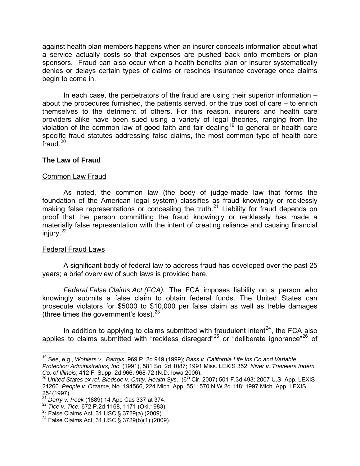against health plan members happens when an insurer conceals information about what a service actually costs so that expenses are pushed back onto members or plan sponsors. Fraud can also occur when a health benefits plan or insurer systematically denies or delays certain types of claims or rescinds insurance coverage once claims begin to come in.

In each case, the perpetrators of the fraud are using their superior information – about the procedures furnished, the patients served, or the true cost of care – to enrich themselves to the detriment of others. For this reason, insurers and health care providers alike have been sued using a variety of legal theories, ranging from the violation of the common law of good faith and fair dealing<sup>[19](#page-5-0)</sup> to general or health care specific fraud statutes addressing false claims, the most common type of health care fraud. $20$ 

#### **The Law of Fraud**

#### Common Law Fraud

As noted, the common law (the body of judge-made law that forms the foundation of the American legal system) classifies as fraud knowingly or recklessly making false representations or concealing the truth.<sup>[21](#page-5-2)</sup> Liability for fraud depends on proof that the person committing the fraud knowingly or recklessly has made a materially false representation with the intent of creating reliance and causing financial injury.[22](#page-5-3)

## Federal Fraud Laws

A significant body of federal law to address fraud has developed over the past 25 years; a brief overview of such laws is provided here.

*Federal False Claims Act (FCA).* The FCA imposes liability on a person who knowingly submits a false claim to obtain federal funds. The United States can prosecute violators for \$5000 to \$10,000 per false claim as well as treble damages (three times the government's loss).  $23$ 

<span id="page-5-7"></span><span id="page-5-6"></span>In addition to applying to claims submitted with fraudulent intent<sup>[24](#page-5-5)</sup>, the FCA also applies to claims submitted with "reckless disregard"<sup>[25](#page-5-6)</sup> or "deliberate ignorance"<sup>[26](#page-5-7)</sup> of

<span id="page-5-0"></span> $\overline{a}$ 19 See, e.g., *Wohlers v. Bartgis* 969 P. 2d 949 (1999); *Bass v. California Life Ins Co and Variable Protection Administrators, Inc*. (1991), 581 So. 2d 1087; 1991 Miss. LEXIS 352; *Niver v. Travelers Indem.* 

<span id="page-5-1"></span>*Co. of Illinois*, 412 F. Supp. 2d 966, 968-72 (N.D. Iowa 2006). <sup>20</sup> *United States ex rel. Bledsoe v. Cmty. Health Sys*., (6th Cir. 2007) 501 F.3d 493; 2007 U.S. App. LEXIS 21260. *People v. Orzame*, No. 194566, 224 Mich. App. 551; 570 N.W.2d 118; 1997 Mich. App. LEXIS

<span id="page-5-3"></span>

<span id="page-5-5"></span><span id="page-5-4"></span>

<span id="page-5-2"></span><sup>254(1997).&</sup>lt;br><sup>21</sup> *Derry v. Peek* (1889) 14 App Cas 337 at 374.<br><sup>22</sup> *Tice v. Tice,* 672 P.2d 1168, 1171 (Okl.1983).<br><sup>23</sup> False Claims Act, 31 USC § 3729(a) (2009).<br><sup>24</sup> False Claims Act, 31 USC § 3729(b)(1) (2009).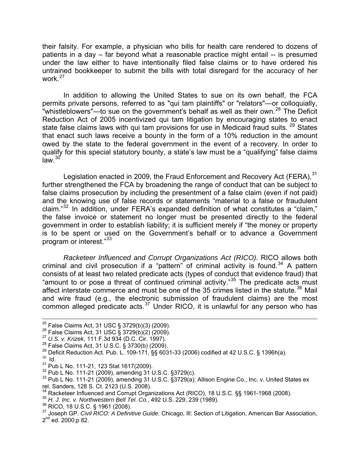their falsity. For example, a physician who bills for health care rendered to dozens of patients in a day – far beyond what a reasonable practice might entail -- is presumed under the law either to have intentionally filed false claims or to have ordered his untrained bookkeeper to submit the bills with total disregard for the accuracy of her work $27$ 

 In addition to allowing the United States to sue on its own behalf, the FCA permits private persons, referred to as "qui tam plaintiffs" or "relators"—or colloquially, "whistleblowers"—to sue on the government's behalf as well as their own.<sup>[28](#page-6-1)</sup> The Deficit Reduction Act of 2005 incentivized qui tam litigation by encouraging states to enact state false claims laws with qui tam provisions for use in Medicaid fraud suits.<sup>[29](#page-6-2)</sup> States that enact such laws receive a bounty in the form of a 10% reduction in the amount owed by the state to the federal government in the event of a recovery. In order to qualify for this special statutory bounty, a state's law must be a "qualifying" false claims law. $30$ 

Legislation enacted in 2009, the Fraud Enforcement and Recovery Act (FERA).<sup>[31](#page-6-4)</sup> further strengthened the FCA by broadening the range of conduct that can be subject to false claims prosecution by including the presentment of a false claim (even if not paid) and the knowing use of false records or statements "material to a false or fraudulent claim." $32$  In addition, under FERA's expanded definition of what constitutes a "claim," the false invoice or statement no longer must be presented directly to the federal government in order to establish liability; it is sufficient merely if "the money or property is to be spent or used on the Government's behalf or to advance a Government program or interest."[33](#page-6-6)

 *Racketeer Influenced and Corrupt Organizations Act (RICO).* RICO allows both criminal and civil prosecution if a "pattern" of criminal activity is found.<sup>[34](#page-6-7)</sup> A pattern consists of at least two related predicate acts (types of conduct that evidence fraud) that "amount to or pose a threat of continued criminal activity."<sup>[35](#page-6-8)</sup> The predicate acts must affect interstate commerce and must be one of the 35 crimes listed in the statute.<sup>[36](#page-6-9)</sup> Mail and wire fraud (e.g., the electronic submission of fraudulent claims) are the most common alleged predicate acts. $37$  Under RICO, it is unlawful for any person who has

<span id="page-6-0"></span>

<span id="page-6-1"></span>

<sup>&</sup>lt;sup>25</sup> False Claims Act, 31 USC § 3729(b)(3) (2009).<br><sup>26</sup> False Claims Act, 31 USC § 3729(b)(2) (2009).<br><sup>27</sup> *U.S. v. Krizek*, 111 F.3d 934 (D.C. Cir. 1997).<br><sup>28</sup> False Claims Act, 31 U.S.C. § 3730(b) (2009).<br><sup>29</sup> Deficit R

<span id="page-6-3"></span><span id="page-6-2"></span>

<span id="page-6-6"></span><span id="page-6-5"></span><span id="page-6-4"></span> $32$  Pub L No. 111-21 (2009), amending 31 U.S.C. §3729(c).<br> $33$  Pub L No. 111-21 (2009), amending 31 U.S.C. §3729(a); Allison Engine Co., Inc. v. United States ex rel. Sanders, 128 S. Ct. 2123 (U.S. 2008).<br><sup>34</sup> Racketeer Influenced and Corrupt Organizations Act (RICO), 18 U.S.C. §§ 1961-1968 (2008).

<span id="page-6-10"></span>

<span id="page-6-9"></span><span id="page-6-8"></span><span id="page-6-7"></span><sup>35</sup> H. J. Inc. v. Northwestern Bell Tel. Co., 492 U.S. 229, 239 (1989).<br><sup>36</sup> RICO, 18 U.S.C. § 1961 (2008).<br><sup>37</sup> Joseph GP. *Civil RICO: A Definitive Guide.* Chicago, Ill: Section of Litigation, American Bar Association,  $2^{nd}$  ed. 2000; p 82.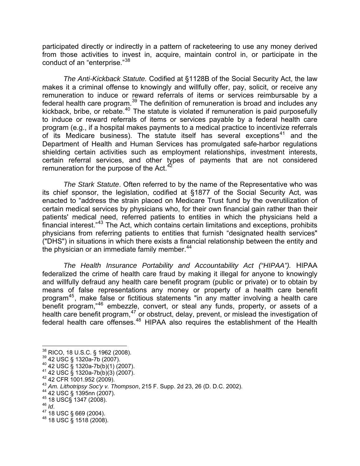participated directly or indirectly in a pattern of racketeering to use any money derived from those activities to invest in, acquire, maintain control in, or participate in the conduct of an "enterprise."<sup>[38](#page-7-0)</sup>

*The Anti-Kickback Statute.* Codified at §1128B of the Social Security Act, the law makes it a criminal offense to knowingly and willfully offer, pay, solicit, or receive any remuneration to induce or reward referrals of items or services reimbursable by a federal health care program.<sup>[39](#page-7-1)</sup> The definition of remuneration is broad and includes any kickback, bribe, or rebate.[40](#page-7-2) The statute is violated if remuneration is paid purposefully to induce or reward referrals of items or services payable by a federal health care program (e.g., if a hospital makes payments to a medical practice to incentivize referrals of its Medicare business). The statute itself has several exceptions<sup>[41](#page-7-3)</sup> and the Department of Health and Human Services has promulgated safe-harbor regulations shielding certain activities such as employment relationships, investment interests, certain referral services, and other types of payments that are not considered remuneration for the purpose of the Act.<sup>4</sup>

*The Stark Statute*. Often referred to by the name of the Representative who was its chief sponsor, the legislation, codified at §1877 of the Social Security Act, was enacted to "address the strain placed on Medicare Trust fund by the overutilization of certain medical services by physicians who, for their own financial gain rather than their patients' medical need, referred patients to entities in which the physicians held a financial interest."[43](#page-7-5) The Act, which contains certain limitations and exceptions, prohibits physicians from referring patients to entities that furnish "designated health services" ("DHS") in situations in which there exists a financial relationship between the entity and the physician or an immediate family member. $44$ 

*The Health Insurance Portability and Accountability Act ("HIPAA").* HIPAA federalized the crime of health care fraud by making it illegal for anyone to knowingly and willfully defraud any health care benefit program (public or private) or to obtain by means of false representations any money or property of a health care benefit program[45](#page-7-7), make false or fictitious statements "in any matter involving a health care benefit program,"<sup>[46](#page-7-8)</sup> embezzle, convert, or steal any funds, property, or assets of a health care benefit program,<sup>[47](#page-7-9)</sup> or obstruct, delay, prevent, or mislead the investigation of federal health care offenses.<sup>[48](#page-7-10)</sup> HIPAA also requires the establishment of the Health

 $\overline{a}$ 

<span id="page-7-1"></span>

<span id="page-7-2"></span>

<span id="page-7-3"></span>

<span id="page-7-5"></span><span id="page-7-4"></span>

<span id="page-7-0"></span><sup>&</sup>lt;sup>38</sup> RICO, 18 U.S.C. § 1962 (2008).<br><sup>39</sup> 42 USC § 1320a-7b (2007).<br><sup>40</sup> 42 USC § 1320a-7b(b)(1) (2007).<br><sup>41</sup> 42 USC § 1320a-7b(b)(3) (2007).<br><sup>42</sup> 42 CFR 1001.952 (2009).<br><sup>43</sup> 4*m. Lithotripsy Soc'y v. Thompson*, 215 F. Sup

<span id="page-7-6"></span>

<span id="page-7-9"></span><span id="page-7-8"></span><span id="page-7-7"></span>

<span id="page-7-10"></span>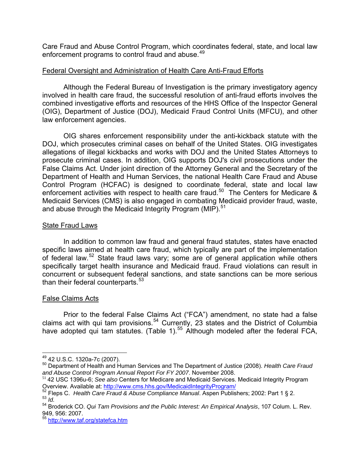Care Fraud and Abuse Control Program, which coordinates federal, state, and local law enforcement programs to control fraud and abuse.<sup>[49](#page-8-0)</sup>

#### Federal Oversight and Administration of Health Care Anti-Fraud Efforts

Although the Federal Bureau of Investigation is the primary investigatory agency involved in health care fraud, the successful resolution of anti-fraud efforts involves the combined investigative efforts and resources of the HHS Office of the Inspector General (OIG), Department of Justice (DOJ), Medicaid Fraud Control Units (MFCU), and other law enforcement agencies.

OIG shares enforcement responsibility under the anti-kickback statute with the DOJ, which prosecutes criminal cases on behalf of the United States. OIG investigates allegations of illegal kickbacks and works with DOJ and the United States Attorneys to prosecute criminal cases. In addition, OIG supports DOJ's civil prosecutions under the False Claims Act. Under joint direction of the Attorney General and the Secretary of the Department of Health and Human Services, the national Health Care Fraud and Abuse Control Program (HCFAC) is designed to coordinate federal, state and local law enforcement activities with respect to health care fraud.<sup>[50](#page-8-1)</sup> The Centers for Medicare & Medicaid Services (CMS) is also engaged in combating Medicaid provider fraud, waste, and abuse through the Medicaid Integrity Program (MIP).<sup>[51](#page-8-2)</sup>

#### **State Fraud Laws**

In addition to common law fraud and general fraud statutes, states have enacted specific laws aimed at health care fraud, which typically are part of the implementation of federal law.[52](#page-8-3) State fraud laws vary; some are of general application while others specifically target health insurance and Medicaid fraud. Fraud violations can result in concurrent or subsequent federal sanctions, and state sanctions can be more serious than their federal counterparts.<sup>[53](#page-8-4)</sup>

## False Claims Acts

 Prior to the federal False Claims Act ("FCA") amendment, no state had a false claims act with qui tam provisions.<sup>[54](#page-8-5)</sup> Currently, 23 states and the District of Columbia have adopted qui tam statutes. (Table 1).<sup>[55](#page-8-6)</sup> Although modeled after the federal FCA,

<sup>&</sup>lt;sup>49</sup> 42 U.S.C. 1320a-7c (2007).

<span id="page-8-1"></span><span id="page-8-0"></span><sup>&</sup>lt;sup>50</sup> Department of Health and Human Services and The Department of Justice (2008). Health Care Fraud and Abuse Control Program Annual Report For FY 2007. November 2008.

<span id="page-8-2"></span><sup>&</sup>lt;sup>51</sup> 42 USC 1396u-6; *See also* Centers for Medicare and Medicaid Services. Medicaid Integrity Program

<span id="page-8-3"></span>Overview. Available at: <http://www.cms.hhs.gov/MedicaidIntegrityProgram/><br><sup>52</sup> Fleps C. *Health Care Fraud & Abuse Compliance Manual*. Aspen Publishers; 2002: Part 1 § 2.<br><sup>53</sup> *Id* 

<span id="page-8-5"></span><span id="page-8-4"></span><sup>54</sup> Broderick CO. *Qui Tam Provisions and the Public Interest: An Empirical Analysis*, 107 Colum. L. Rev. 949, 956: 2007.

<span id="page-8-6"></span><sup>&</sup>lt;sup>55</sup> <http://www.taf.org/statefca.htm>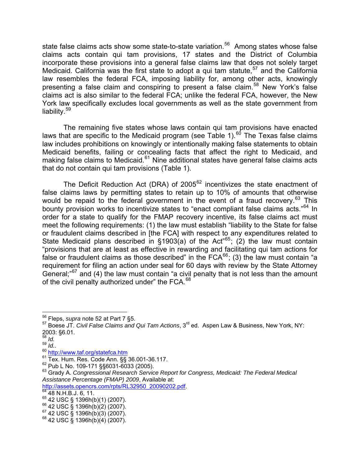state false claims acts show some state-to-state variation.<sup>[56](#page-9-0)</sup> Among states whose false claims acts contain qui tam provisions, 17 states and the District of Columbia incorporate these provisions into a general false claims law that does not solely target Medicaid. California was the first state to adopt a qui tam statute,<sup>[57](#page-9-1)</sup> and the California law resembles the federal FCA, imposing liability for, among other acts, knowingly presenting a false claim and conspiring to present a false claim.<sup>[58](#page-9-2)</sup> New York's false claims act is also similar to the federal FCA; unlike the federal FCA, however, the New York law specifically excludes local governments as well as the state government from liability.<sup>[59](#page-9-3)</sup>

 The remaining five states whose laws contain qui tam provisions have enacted laws that are specific to the Medicaid program (see Table 1).<sup>[60](#page-9-4)</sup> The Texas false claims law includes prohibitions on knowingly or intentionally making false statements to obtain Medicaid benefits, failing or concealing facts that affect the right to Medicaid, and making false claims to Medicaid. $61$  Nine additional states have general false claims acts that do not contain qui tam provisions (Table 1).

The Deficit Reduction Act (DRA) of  $2005^{62}$  $2005^{62}$  $2005^{62}$  incentivizes the state enactment of false claims laws by permitting states to retain up to 10% of amounts that otherwise would be repaid to the federal government in the event of a fraud recovery.<sup>[63](#page-9-7)</sup> This bounty provision works to incentivize states to "enact compliant false claims acts."<sup>[64](#page-9-8)</sup> In order for a state to qualify for the FMAP recovery incentive, its false claims act must meet the following requirements: (1) the law must establish "liability to the State for false or fraudulent claims described in [the FCA] with respect to any expenditures related to State Medicaid plans described in §1903(a) of the Act<sup>"[65](#page-9-9)</sup>; (2) the law must contain "provisions that are at least as effective in rewarding and facilitating qui tam actions for false or fraudulent claims as those described" in the  $FCA^{66}$  $FCA^{66}$  $FCA^{66}$ ; (3) the law must contain "a requirement for filing an action under seal for 60 days with review by the State Attorney General;<sup>"[67](#page-9-11)</sup> and (4) the law must contain "a civil penalty that is not less than the amount of the civil penalty authorized under" the FCA.<sup>[68](#page-9-12)</sup>

<span id="page-9-8"></span>[http://assets.opencrs.com/rpts/RL32950\\_20090202.pdf](http://assets.opencrs.com/rpts/RL32950_20090202.pdf).<br><sup>[64](http://assets.opencrs.com/rpts/RL32950_20090202.pdf)</sup> 48 N.H.B.J. 6, 11.<br><sup>65</sup> 42 USC § 1396h(b)(1) (2007).<br><sup>66</sup> 42 USC § 1396h(b)(2) (2007).

<sup>1</sup> 

<span id="page-9-1"></span><span id="page-9-0"></span><sup>&</sup>lt;sup>56</sup> Fleps, *supra* note 52 at Part 7 §5.<br><sup>57</sup> Boese JT. *Civil False Claims and Qui Tam Actions*, 3<sup>rd</sup> ed. Aspen Law & Business, New York, NY: 2003: §6.01.

<span id="page-9-2"></span><sup>58</sup> *Id.* 

<span id="page-9-7"></span><span id="page-9-6"></span>

<span id="page-9-5"></span><span id="page-9-4"></span><span id="page-9-3"></span> $^{60}$  <http://www.taf.org/statefca.htm><br> $^{61}$  Tex. Hum. Res. Code Ann. §§ 36.001-36.117.<br> $^{62}$  Pub L No. 109-171 §§6031-6033 (2005).<br> $^{62}$  Grady A. Congressional Research Service Report for Congress, Medicaid: The Feder *Assistance Percentage (FMAP) 2009*, Available at:

<span id="page-9-9"></span>

<span id="page-9-11"></span><span id="page-9-10"></span><sup>67 42</sup> USC § 1396h(b)(2) (2007).<br>
68 42 USC § 1396h(b)(3) (2007).

<span id="page-9-12"></span>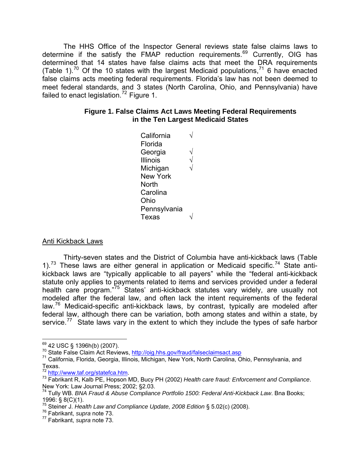The HHS Office of the Inspector General reviews state false claims laws to determine if the satisfy the  $FMAP$  reduction requirements.<sup>[69](#page-10-0)</sup> Currently, OIG has determined that 14 states have false claims acts that meet the DRA requirements (Table 1).<sup>[70](#page-10-1)</sup> Of the 10 states with the largest Medicaid populations,<sup>[71](#page-10-2)</sup> 6 have enacted false claims acts meeting federal requirements. Florida's law has not been deemed to meet federal standards, and 3 states (North Carolina, Ohio, and Pennsylvania) have failed to enact legislation.<sup>[72](#page-10-3)</sup> Figure 1.

#### **Figure 1. False Claims Act Laws Meeting Federal Requirements in the Ten Largest Medicaid States**

**California** Florida Georgia Illinois Michigan New York North Carolina Ohio Pennsylvania Texas √ √ √ √ √

## Anti Kickback Laws

 Thirty-seven states and the District of Columbia have anti-kickback laws (Table 1).<sup>[73](#page-10-4)</sup> These laws are either general in application or Medicaid specific.<sup>[74](#page-10-5)</sup> State antikickback laws are "typically applicable to all payers" while the "federal anti-kickback statute only applies to payments related to items and services provided under a federal health care program."[75](#page-10-6) States' anti-kickback statutes vary widely, are usually not modeled after the federal law, and often lack the intent requirements of the federal law.<sup>[76](#page-10-7)</sup> Medicaid-specific anti-kickback laws, by contrast, typically are modeled after federal law, although there can be variation, both among states and within a state, by service.<sup>[77](#page-10-8)</sup> State laws vary in the extent to which they include the types of safe harbor

 $\overline{a}$ 

<span id="page-10-2"></span><span id="page-10-1"></span>

<span id="page-10-0"></span><sup>&</sup>lt;sup>69</sup> 42 USC § 1396h(b) (2007).<br><sup>70</sup> State False Claim Act Reviews, <u>http://oig.hhs.gov/fraud/falseclaimsact.asp</u><br><sup>71</sup> California, Florida, Georgia, Illinois, Michigan, New York, North Carolina, Ohio, Pennsylvania, and Texas.<br><sup>72</sup> http://www<u>.taf.org/statefca.htm</u>.

<span id="page-10-4"></span><span id="page-10-3"></span><sup>&</sup>lt;sup>73</sup> [Fabrikant R, Kalb PE, Hopson](http://www.taf.org/statefca.htm) MD, Bucy PH (2002) *Health care fraud: Enforcement and Compliance*. New York: Law Journal Press; 2002; §2.03.

<span id="page-10-5"></span><sup>74</sup> Tully WB. *BNA Fraud & Abuse Compliance Portfolio 1500: Federal Anti-Kickback Law*. Bna Books; 1996: § 8(C)(1).

<sup>&</sup>lt;sup>75</sup> Steiner J. *Health Law and Compliance Update, 2008 Edition* § 5.02(c) (2008).

<span id="page-10-8"></span><span id="page-10-7"></span><span id="page-10-6"></span><sup>&</sup>lt;sup>76</sup> Fabrikant, *supra* note 73.<br><sup>77</sup> Fabrikant, *supra* note 73.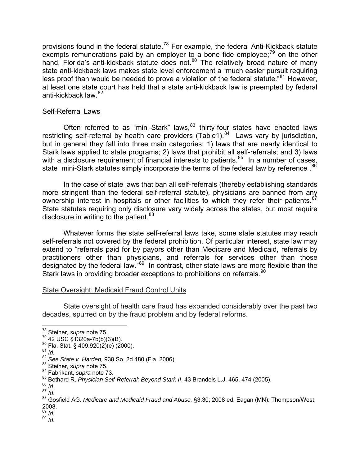provisions found in the federal statute.<sup>[78](#page-11-0)</sup> For example, the federal Anti-Kickback statute exempts remunerations paid by an employer to a bone fide employee; $^{79}$  $^{79}$  $^{79}$  on the other hand, Florida's anti-kickback statute does not.<sup>[80](#page-11-2)</sup> The relatively broad nature of many state anti-kickback laws makes state level enforcement a "much easier pursuit requiring less proof than would be needed to prove a violation of the federal statute."<sup>[81](#page-11-3)</sup> However, at least one state court has held that a state anti-kickback law is preempted by federal anti-kickback law. [82](#page-11-4)

#### Self-Referral Laws

Often referred to as "mini-Stark" laws, $83$  thirty-four states have enacted laws restricting self-referral by health care providers (Table1).<sup>[84](#page-11-6)</sup> Laws vary by jurisdiction, but in general they fall into three main categories: 1) laws that are nearly identical to Stark laws applied to state programs; 2) laws that prohibit all self-referrals; and 3) laws with a disclosure requirement of financial interests to patients.<sup>[85](#page-11-7)</sup> In a number of cases, state mini-Stark statutes simply incorporate the terms of the federal law by reference.<sup>86</sup>

In the case of state laws that ban all self-referrals (thereby establishing standards more stringent than the federal self-referral statute), physicians are banned from any ownership interest in hospitals or other facilities to which they refer their patients.<sup>[87](#page-11-8)</sup> State statutes requiring only disclosure vary widely across the states, but most require disclosure in writing to the patient.  $88$ 

Whatever forms the state self-referral laws take, some state statutes may reach self-referrals not covered by the federal prohibition. Of particular interest, state law may extend to "referrals paid for by payors other than Medicare and Medicaid, referrals by practitioners other than physicians, and referrals for services other than those designated by the federal law."[89](#page-11-10) In contrast, other state laws are more flexible than the Stark laws in providing broader exceptions to prohibitions on referrals.<sup>[90](#page-11-11)</sup>

#### State Oversight: Medicaid Fraud Control Units

 State oversight of health care fraud has expanded considerably over the past two decades, spurred on by the fraud problem and by federal reforms.

 $\overline{a}$ 

<span id="page-11-11"></span><span id="page-11-10"></span><sup>89</sup> *Id.* 

<sup>90</sup> *Id.* 

<span id="page-11-0"></span><sup>78</sup> Steiner, *supra* note 75.

<span id="page-11-1"></span>

<sup>&</sup>lt;sup>79</sup> 42 USC §1320a-7b(b)(3)(B).<br><sup>80</sup> Fla. Stat. § 409.920(2)(e) (2000).<br><sup>81</sup> *Id.* 

<span id="page-11-4"></span><span id="page-11-3"></span><span id="page-11-2"></span><sup>82</sup> *See State v. Harden,* 938 So. 2d 480 (Fla. 2006). 83 Steiner, *supra* note 75.

<span id="page-11-5"></span><sup>84</sup> Fabrikant, *supra* note 73.

<span id="page-11-7"></span><span id="page-11-6"></span><sup>85</sup> Bethard R. *Physician Self-Referral: Beyond Stark II*, 43 Brandeis L.J. 465, 474 (2005).<br><sup>86</sup> *Id.* 

<span id="page-11-8"></span><sup>87</sup> *Id.* 

<span id="page-11-9"></span><sup>88</sup> Gosfield AG. *Medicare and Medicaid Fraud and Abuse.* §3.30; 2008 ed. Eagan (MN): Thompson/West; 2008.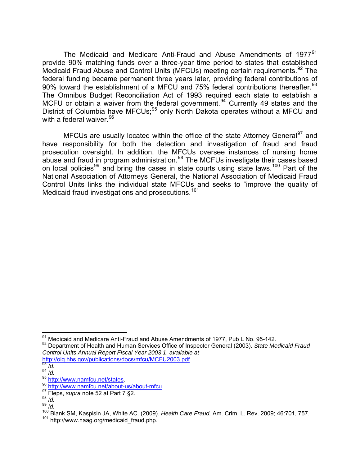The Medicaid and Medicare Anti-Fraud and Abuse Amendments of 1977<sup>[91](#page-12-0)</sup> provide 90% matching funds over a three-year time period to states that established Medicaid Fraud Abuse and Control Units (MFCUs) meeting certain requirements.<sup>[92](#page-12-1)</sup> The federal funding became permanent three years later, providing federal contributions of 90% toward the establishment of a MFCU and 75% federal contributions thereafter. <sup>[93](#page-12-2)</sup> The Omnibus Budget Reconciliation Act of 1993 required each state to establish a MCFU or obtain a waiver from the federal government.<sup>[94](#page-12-3)</sup> Currently 49 states and the District of Columbia have MFCUs;<sup>[95](#page-12-4)</sup> only North Dakota operates without a MFCU and with a federal waiver. [96](#page-12-5)

MFCUs are usually located within the office of the state Attorney General<sup>[97](#page-12-6)</sup> and have responsibility for both the detection and investigation of fraud and fraud prosecution oversight. In addition, the MFCUs oversee instances of nursing home abuse and fraud in program administration. $98$  The MCFUs investigate their cases based on local policies<sup>[99](#page-12-8)</sup> and bring the cases in state courts using state laws.<sup>[100](#page-12-9)</sup> Part of the National Association of Attorneys General, the National Association of Medicaid Fraud Control Units links the individual state MFCUs and seeks to "improve the quality of Medicaid fraud investigations and prosecutions.<sup>[101](#page-12-10)</sup>

 $\overline{a}$  $\frac{91}{1}$  Medicaid and Medicare Anti-Fraud and Abuse Amendments of 1977, Pub L No. 95-142.

<span id="page-12-1"></span><span id="page-12-0"></span><sup>92</sup> Department of Health and Human Services Office of Inspector General (2003). *State Medicaid Fraud Control Units Annual Report Fiscal Year 2003 1*, *available at*

[http://oig.hhs.gov/publications/docs/mfcu/MCFU2003.pdf.](http://oig.hhs.gov/publications/docs/mfcu/MCFU2003.pdf) .<br><sup>[93](http://oig.hhs.gov/publications/docs/mfcu/MCFU2003.pdf)</sup> *Id.* 

<span id="page-12-3"></span><span id="page-12-2"></span><sup>94</sup> *Id.*<br>95 http://www.namfcu.net/states.

<span id="page-12-5"></span><span id="page-12-4"></span><sup>96</sup> <http://www.namfcu.net/about-us/about-mfcu>.<br><sup>97</sup> Fleps, *supra* note 52 at Part 7 §2.<br><sup>98</sup> *Id* 

<span id="page-12-8"></span><span id="page-12-7"></span><span id="page-12-6"></span><sup>99</sup> *Id.* 

<span id="page-12-9"></span><sup>100</sup> Blank SM, Kaspisin JA, White AC. (2009). *Health Care Fraud,* Am. Crim. L. Rev. 2009; 46:701, 757.

<span id="page-12-10"></span><sup>&</sup>lt;sup>101</sup> http://www.naag.org/medicaid\_fraud.php.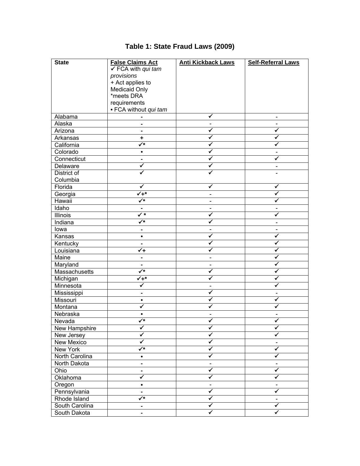# **Table 1: State Fraud Laws (2009)**

| <b>State</b>                   | <b>False Claims Act</b>       | <b>Anti Kickback Laws</b>    | <b>Self-Referral Laws</b>    |
|--------------------------------|-------------------------------|------------------------------|------------------------------|
|                                | $\checkmark$ FCA with qui tam |                              |                              |
|                                | provisions                    |                              |                              |
|                                | + Act applies to              |                              |                              |
|                                | Medicaid Only                 |                              |                              |
|                                | *meets DRA                    |                              |                              |
|                                | requirements                  |                              |                              |
|                                | • FCA without qui tam         |                              |                              |
| Alabama                        |                               | ✔                            |                              |
| Alaska                         |                               |                              |                              |
| Arizona                        | $\blacksquare$                | $\checkmark$                 | ✓                            |
| Arkansas                       | ٠                             | ✓                            | ✔                            |
| California                     | $\overline{\checkmark}$       | ✓                            | ✔                            |
| Colorado                       | $\bullet$                     | ✓                            |                              |
| Connecticut                    | $\blacksquare$                | ✓                            | ✓                            |
| Delaware                       | ✓                             | ✓                            |                              |
| District of                    | ✓                             | ✔                            |                              |
| Columbia                       |                               |                              |                              |
| Florida                        | ✔                             | ✓                            | ✓                            |
| Georgia                        | $\sqrt{+^*}$                  | $\overline{\phantom{0}}$     | ✔                            |
| Hawaii                         | $\checkmark$                  |                              | ✔                            |
| Idaho                          | $\blacksquare$                |                              |                              |
| <b>Illinois</b>                | $\sqrt{*}$                    | ✔                            | ✔                            |
| Indiana                        | $\checkmark$                  | ✓                            | $\qquad \qquad \blacksquare$ |
| lowa                           | $\blacksquare$                | $\qquad \qquad \blacksquare$ |                              |
| Kansas                         | $\bullet$                     | ✔                            | ✓                            |
| Kentucky                       | $\blacksquare$                | ✓                            | ✓                            |
| Louisiana                      | $\overline{\checkmark}$       | ✓                            | ✓                            |
| Maine                          | Ξ.                            | $\overline{\phantom{0}}$     | ✓                            |
| Maryland                       | ۰                             | $\qquad \qquad \blacksquare$ | ✔                            |
| Massachusetts                  | $\overline{\checkmark}$       | ✓                            | ✔                            |
| Michigan                       | $\checkmark$ +*               | ✓                            | ✔                            |
| Minnesota                      | ✓                             | $\qquad \qquad \blacksquare$ | ✓                            |
| Mississippi                    | $\blacksquare$                | ✔                            |                              |
| Missouri                       | $\bullet$                     | ✔                            | ✔                            |
| Montana                        | ✓                             | ✔                            | ✔                            |
| Nebraska                       | ٠                             |                              |                              |
|                                | $\checkmark$                  | -                            |                              |
| Nevada<br><b>New Hampshire</b> | ✓                             | ✓                            | ✓                            |
|                                | ✔                             | ✓                            | ✔                            |
| New Jersey                     | ✓                             | √                            |                              |
| New Mexico                     | $\overline{\checkmark}$       | √                            | ✓                            |
| New York                       |                               |                              |                              |
| North Carolina                 | $\bullet$                     | ✓                            | ✓                            |
| North Dakota                   | ۰                             |                              |                              |
| Ohio                           | Ξ.                            | ✓                            | ✓                            |
| Oklahoma                       | ✓                             | ✓                            | ✓                            |
| Oregon                         | ۰                             |                              |                              |
| Pennsylvania                   | Ξ.                            | ✓                            | ✓                            |
| Rhode Island                   | $\overline{\checkmark}$       | √                            |                              |
| South Carolina                 |                               | ✓                            | ✓                            |
| South Dakota                   | $\blacksquare$                |                              |                              |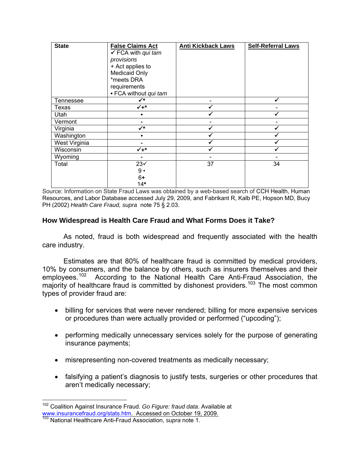| <b>State</b>  | <b>False Claims Act</b>       | <b>Anti Kickback Laws</b> | <b>Self-Referral Laws</b> |
|---------------|-------------------------------|---------------------------|---------------------------|
|               | $\checkmark$ FCA with qui tam |                           |                           |
|               | provisions                    |                           |                           |
|               | + Act applies to              |                           |                           |
|               | <b>Medicaid Only</b>          |                           |                           |
|               | *meets DRA                    |                           |                           |
|               | requirements                  |                           |                           |
|               | • FCA without qui tam         |                           |                           |
| Tennessee     | $\checkmark^*$                |                           |                           |
| Texas         | $V^*$                         |                           |                           |
| Utah          |                               |                           |                           |
| Vermont       |                               |                           |                           |
| Virginia      | $\checkmark$                  |                           |                           |
| Washington    |                               |                           |                           |
| West Virginia |                               |                           |                           |
| Wisconsin     | $V_+$ *                       |                           |                           |
| Wyoming       | -                             |                           |                           |
| Total         | 23 <sub>1</sub>               | 37                        | 34                        |
|               | $9 \cdot$                     |                           |                           |
|               | 6+                            |                           |                           |
|               | 14*                           |                           |                           |

Source: Information on State Fraud Laws was obtained by a web-based search of CCH Health, Human Resources, and Labor Database accessed July 29, 2009, and Fabrikant R, Kalb PE, Hopson MD, Bucy PH (2002) *Health Care Fraud, supra* note 75 § 2.03.

## **How Widespread is Health Care Fraud and What Forms Does it Take?**

 As noted, fraud is both widespread and frequently associated with the health care industry.

Estimates are that 80% of healthcare fraud is committed by medical providers, 10% by consumers, and the balance by others, such as insurers themselves and their employees.<sup>[102](#page-14-0)</sup> According to the National Health Care Anti-Fraud Association, the majority of healthcare fraud is committed by dishonest providers.<sup>[103](#page-14-1)</sup> The most common types of provider fraud are:

- billing for services that were never rendered; billing for more expensive services or procedures than were actually provided or performed ("upcoding");
- performing medically unnecessary services solely for the purpose of generating insurance payments;
- misrepresenting non-covered treatments as medically necessary;
- falsifying a patient's diagnosis to justify tests, surgeries or other procedures that aren't medically necessary;

<span id="page-14-0"></span><sup>1</sup> 102 Coalition Against Insurance Fraud. *Go Figure: fraud data*. Available at [www.insurancefraud.org/stats.htm](http://www.insurancefraud.org/stats.htm). Accessed on October 19, 2009.

<span id="page-14-1"></span><sup>103</sup> National Healthcare Anti-Fraud Association, *supra* note 1.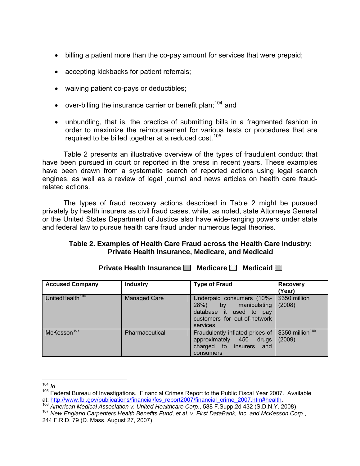- billing a patient more than the co-pay amount for services that were prepaid;
- accepting kickbacks for patient referrals;
- waiving patient co-pays or deductibles;
- over-billing the insurance carrier or benefit plan:  $104$  and
- unbundling, that is, the practice of submitting bills in a fragmented fashion in order to maximize the reimbursement for various tests or procedures that are required to be billed together at a reduced cost.<sup>[105](#page-15-1)</sup>

 Table 2 presents an illustrative overview of the types of fraudulent conduct that have been pursued in court or reported in the press in recent years. These examples have been drawn from a systematic search of reported actions using legal search engines, as well as a review of legal journal and news articles on health care fraudrelated actions.

The types of fraud recovery actions described in Table 2 might be pursued privately by health insurers as civil fraud cases, while, as noted, state Attorneys General or the United States Department of Justice also have wide-ranging powers under state and federal law to pursue health care fraud under numerous legal theories.

# **Table 2. Examples of Health Care Fraud across the Health Care Industry: Private Health Insurance, Medicare, and Medicaid**

<span id="page-15-4"></span>

| <b>Accused Company</b>      | <b>Industry</b>     | <b>Type of Fraud</b>                                                                                                     | <b>Recovery</b><br>(Year)     |
|-----------------------------|---------------------|--------------------------------------------------------------------------------------------------------------------------|-------------------------------|
| UnitedHealth <sup>106</sup> | <b>Managed Care</b> | Underpaid consumers (10%-<br>28%) by manipulating<br>database it used to pay<br>customers for out-of-network<br>services | \$350 million<br>(2008)       |
| McKesson <sup>107</sup>     | Pharmaceutical      | Fraudulently inflated prices of<br>approximately 450<br>drugs<br>charged to insurers<br>and and<br>consumers             | \$350 million $108$<br>(2009) |

**Private Health Insurance Medicare <b>Medicaid Medicaid** 

 $\overline{a}$ <sup>104</sup> *Id.*

<span id="page-15-1"></span><span id="page-15-0"></span><sup>105</sup> Federal Bureau of Investigations. Financial Crimes Report to the Public Fiscal Year 2007. Available<br>at: http://www.fbi.gov/publications/financial/fcs report2007/financial crime 2007.htm#health.

<span id="page-15-3"></span><span id="page-15-2"></span><sup>&</sup>lt;sup>106</sup> American Medical Association v. United Healthcare Corp., 588 F.Supp.2d 432 (S.D.N.Y. 2008)<br><sup>107</sup> New England Carpenters Health Benefits Fund, et al. v. First DataBank, Inc. and McKesson Corp.,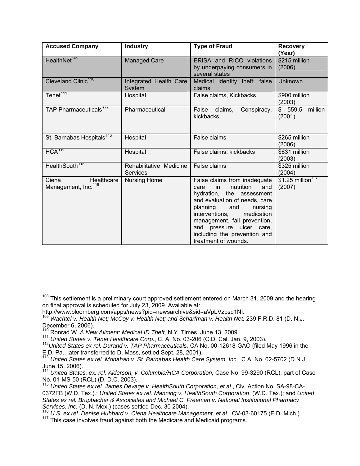| <b>Accused Company</b>                                 | <b>Industry</b>                            | <b>Type of Fraud</b>                                                                                                                                                                                                                                                                                                   | <b>Recovery</b><br>(Year)                |  |
|--------------------------------------------------------|--------------------------------------------|------------------------------------------------------------------------------------------------------------------------------------------------------------------------------------------------------------------------------------------------------------------------------------------------------------------------|------------------------------------------|--|
| HealthNet <sup>109</sup>                               | Managed Care                               | ERISA and RICO violations<br>by underpaying consumers in<br>several states                                                                                                                                                                                                                                             | \$215 million<br>(2006)                  |  |
| Cleveland Clinic <sup>110</sup>                        | Integrated Health Care<br>System           | Medical identity theft; false<br>claims                                                                                                                                                                                                                                                                                | <b>Unknown</b>                           |  |
| Tenet <sup>111</sup>                                   | Hospital                                   | False claims, Kickbacks                                                                                                                                                                                                                                                                                                | \$900 million<br>(2003)                  |  |
| TAP Pharmaceuticals <sup>112</sup>                     | Pharmaceutical                             | Conspiracy,<br>False claims,<br>kickbacks                                                                                                                                                                                                                                                                              | \$ 559.5 million<br>(2001)               |  |
| St. Barnabas Hospitals <sup>113</sup>                  | Hospital                                   | False claims                                                                                                                                                                                                                                                                                                           | \$265 million<br>(2006)                  |  |
| HCA <sup>114</sup>                                     | Hospital                                   | False claims, kickbacks                                                                                                                                                                                                                                                                                                | \$631 million<br>(2003)                  |  |
| HealthSouth <sup>115</sup>                             | Rehabilitative Medicine<br><b>Services</b> | False claims                                                                                                                                                                                                                                                                                                           | \$325 million<br>(2004)                  |  |
| Ciena<br>Healthcare<br>Management, Inc. <sup>116</sup> | <b>Nursing Home</b>                        | False claims from inadequate<br>nutrition<br>$\mathsf{in}$<br>and<br>care<br>hydration, the assessment<br>and evaluation of needs, care<br>planning and<br>nursing<br>interventions,<br>medication<br>management, fall prevention,<br>and pressure ulcer care,<br>including the prevention and<br>treatment of wounds. | $$1.25$ million <sup>117</sup><br>(2007) |  |

 $108$  This settlement is a preliminary court approved settlement entered on March 31, 2009 and the hearing on final approval is scheduled for July 23, 2009. Available at:

<span id="page-16-0"></span>http://www.bloomberg.com/apps/news?pid=newsarchive&sid=aVpLVzpsq1NI.<br><sup>109</sup> Wachtel v. Health Net; McCoy v. Health Net; and Scharfman v. Health Net, 239 F.R.D. 81 (D. N.J. December 6, 2006).

- 110 Ronrad W. *A New Ailment: Medical ID Theft,* N.Y. Times, June 13, 2009.
- 

<span id="page-16-3"></span><span id="page-16-2"></span><span id="page-16-1"></span><sup>111</sup> *United States v. Tenet Healthcare Corp.*, C. A. No. 03-206 (C.D. Cal. Jan. 9, 2003). 112*United States ex rel. Durand v. TAP Pharmaceuticals,* CA No. 00-12618-GAO (filed May 1996 in the E.D. Pa., later transferred to D. Mass, settled Sept. 28, 2001).

<span id="page-16-4"></span><sup>113</sup> *United States ex rel. Monahan v*. *St*. *Barnabas Health Care System, Inc*., C.A. No. 02-5702 (D.N.J. June 15, 2006).

<span id="page-16-5"></span><sup>114</sup> United States, ex. rel. Alderson, v. Columbia/HCA Corporation, Case No. 99-3290 (RCL), part of Case No. 01-MS-50 (RCL) (D. D.C. 2003).

<span id="page-16-6"></span><sup>115</sup> *United States ex rel. James Devage v. HealthSouth Corporation, et al.*, Civ. Action No. SA-98-CA-0372FB (W.D. Tex.).; *United States ex rel. Manning v. HealthSouth Corporation*, (W.D. Tex.); and *United States ex rel. Brupbacher & Associates and Michael C. Freeman v. National Institutional Pharmacy*  Services, Inc. (D. N. Mex.) (cases settled Dec. 30 2004).<br><sup>116</sup> U.S. ex rel. Denise Hubbard v. Ciena Healthcare Management, et al., CV-03-60175 (E.D. Mich.).<br><sup>117</sup> This case involves fraud against both the Medicare and Med

<span id="page-16-8"></span><span id="page-16-7"></span>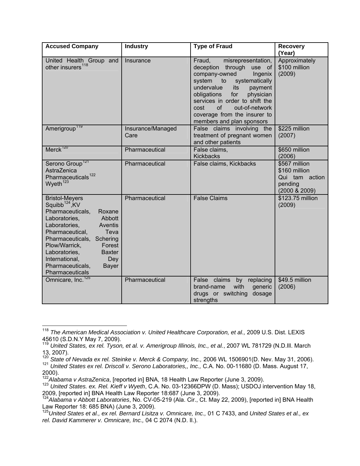| <b>Accused Company</b>                                                                                                                                                                                                                                                                                                                           | <b>Industry</b>           | <b>Type of Fraud</b>                                                                                                                                                                                                                                                                                                            | <b>Recovery</b><br>(Year)                                                    |
|--------------------------------------------------------------------------------------------------------------------------------------------------------------------------------------------------------------------------------------------------------------------------------------------------------------------------------------------------|---------------------------|---------------------------------------------------------------------------------------------------------------------------------------------------------------------------------------------------------------------------------------------------------------------------------------------------------------------------------|------------------------------------------------------------------------------|
| United Health Group and<br>other insurers <sup>118</sup>                                                                                                                                                                                                                                                                                         | Insurance                 | Fraud,<br>misrepresentation,<br>deception through<br>use of<br>company-owned<br>Ingenix<br>system to<br>systematically<br>undervalue<br>its<br>payment<br>obligations<br>for<br>physician<br>services in order to shift the<br><b>of</b><br>out-of-network<br>cost<br>coverage from the insurer to<br>members and plan sponsors | Approximately<br>\$100 million<br>(2009)                                     |
| 119<br>Amerigroup                                                                                                                                                                                                                                                                                                                                | Insurance/Managed<br>Care | False claims involving the<br>treatment of pregnant women<br>and other patients                                                                                                                                                                                                                                                 | \$225 million<br>(2007)                                                      |
| $Merck^{120}$                                                                                                                                                                                                                                                                                                                                    | Pharmaceutical            | False claims,<br><b>Kickbacks</b>                                                                                                                                                                                                                                                                                               | \$650 million<br>(2006)                                                      |
| Serono Group <sup>121</sup><br>AstraZenica<br>Pharmaceuticals <sup>122</sup><br>Wyeth <sup>123</sup>                                                                                                                                                                                                                                             | Pharmaceutical            | False claims, Kickbacks                                                                                                                                                                                                                                                                                                         | \$567 million<br>\$160 million<br>Qui tam action<br>pending<br>(2000 & 2009) |
| <b>Bristol-Meyers</b><br>Squibb <sup>124</sup> , KV<br>Pharmaceuticals,<br>Roxane<br>Laboratories,<br>Abbott<br>Aventis<br>Laboratories.<br>Pharmaceutical,<br>Teva<br>Pharmaceuticals,<br>Schering<br>Plow/Warrick,<br>Forest<br>Laboratories,<br><b>Baxter</b><br>International,<br>Dey<br>Pharmaceuticals,<br><b>Bayer</b><br>Pharmaceuticals | Pharmaceutical            | <b>False Claims</b>                                                                                                                                                                                                                                                                                                             | \$123.75 million<br>(2009)                                                   |
| Omnicare, Inc. <sup>125</sup>                                                                                                                                                                                                                                                                                                                    | Pharmaceutical            | False claims<br>by<br>replacing<br>with<br>generic<br>brand-name<br>drugs or switching<br>dosage<br>strengths                                                                                                                                                                                                                   | \$49.5 million<br>(2006)                                                     |

<span id="page-17-0"></span> $\overline{a}$ <sup>118</sup> The American Medical Association v. United Healthcare Corporation, et al., 2009 U.S. Dist. LEXIS 45610 (S.D.N.Y May 7, 2009).

<span id="page-17-3"></span><span id="page-17-2"></span>

<span id="page-17-1"></span><sup>119</sup> *United States, ex rel. Tyson, et al. v. Amerigroup Illinois, Inc., et al.*, 2007 WL 781729 (N.D.Ill. March 13, 2007).

<sup>&</sup>lt;sup>120</sup> *State of Nevada ex rel. Steinke v. Merck & Company, Inc.,* 2006 WL 1506901(D. Nev. May 31, 2006).<br><sup>121</sup> *United States ex rel. Driscoll v. Serono Laboratories,, Inc.,* C.A. No. 00-11680 (D. Mass. August 17, 2000).

<span id="page-17-5"></span>

<span id="page-17-4"></span><sup>&</sup>lt;sup>122</sup>Ala*bama v AstraZenica*, [reported in] BNA, 18 Health Law Reporter (June 3, 2009).<br><sup>123</sup> *United States. ex. Rel. Kieff v Wyeth*, C.A. No. 03-12366DPW (D. Mass); USDOJ intervention May 18, 2009, [reported in] BNA Health Law Reporter 18:687 (June 3, 2009).

<span id="page-17-6"></span><sup>124</sup>*Alabama v Abbott Laboratories*, No. CV-05-219 (Ala. Cir., Ct. May 22, 2009), [reported in] BNA Health Law Reporter 18: 685 BNA) (June 3, 2009).

<span id="page-17-7"></span><sup>125</sup>*United States et al., ex rel. Bernard Lisitza v. Omnicare, Inc.,* 01 C 7433, and *United States et al., ex rel. David Kammerer v. Omnicare, Inc.,* 04 C 2074 (N.D. Il.).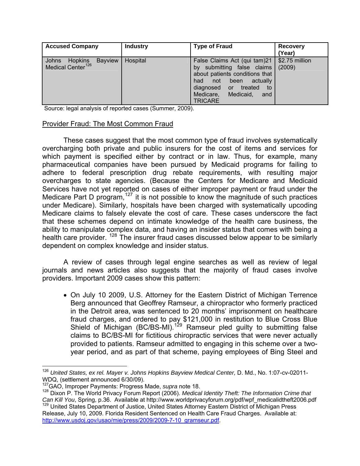| <b>Accused Company</b>                                              | <b>Industry</b> | <b>Type of Fraud</b>                                                                                                                                                                                             | <b>Recovery</b><br>(Year) |
|---------------------------------------------------------------------|-----------------|------------------------------------------------------------------------------------------------------------------------------------------------------------------------------------------------------------------|---------------------------|
| Johns<br>Hopkins<br><b>Bayview</b><br>Medical Center <sup>126</sup> | Hospital        | False Claims Act (qui tam) 21<br>by submitting false claims<br>about patients conditions that<br>had not<br>been<br>actually<br>diagnosed or<br>treated<br>to<br>Medicaid,<br>Medicare,<br>and<br><b>TRICARE</b> | \$2.75 million<br>(2009)  |

Source: legal analysis of reported cases (Summer, 2009).

# Provider Fraud: The Most Common Fraud

These cases suggest that the most common type of fraud involves systematically overcharging both private and public insurers for the cost of items and services for which payment is specified either by contract or in law. Thus, for example, many pharmaceutical companies have been pursued by Medicaid programs for failing to adhere to federal prescription drug rebate requirements, with resulting major overcharges to state agencies. (Because the Centers for Medicare and Medicaid Services have not yet reported on cases of either improper payment or fraud under the Medicare Part D program,  $127$  it is not possible to know the magnitude of such practices under Medicare). Similarly, hospitals have been charged with systematically upcoding Medicare claims to falsely elevate the cost of care. These cases underscore the fact that these schemes depend on intimate knowledge of the health care business, the ability to manipulate complex data, and having an insider status that comes with being a health care provider. <sup>[128](#page-18-2)</sup> The insurer fraud cases discussed below appear to be similarly dependent on complex knowledge and insider status.

 A review of cases through legal engine searches as well as review of legal journals and news articles also suggests that the majority of fraud cases involve providers. Important 2009 cases show this pattern:

• On July 10 2009, U.S. Attorney for the Eastern District of Michigan Terrence Berg announced that Geoffrey Ramseur, a chiropractor who formerly practiced in the Detroit area, was sentenced to 20 months' imprisonment on healthcare fraud charges, and ordered to pay \$121,000 in restitution to Blue Cross Blue Shield of Michigan (BC/BS-MI).<sup>[129](#page-18-3)</sup> Ramseur pled guilty to submitting false claims to BC/BS-MI for fictitious chiropractic services that were never actually provided to patients. Ramseur admitted to engaging in this scheme over a twoyear period, and as part of that scheme, paying employees of Bing Steel and

<span id="page-18-0"></span> $\overline{a}$ <sup>126</sup> *United States, ex rel. Mayer v. Johns Hopkins Bayview Medical Center,* D. Md., No. 1:07-cv-02011- WDQ, (settlement announced 6/30/09).

<span id="page-18-1"></span><sup>127</sup>GAO, Improper Payments: Progress Made, *supra* note 18.

<span id="page-18-3"></span><span id="page-18-2"></span><sup>128</sup> Dixon P. The World Privacy Forum Report (2006). *Medical Identity Theft: The Information Crime that*  Can Kill You, Spring, p.36. Available at http://www.worldprivacyforum.org/pdf/wpf\_medicalidtheft2006.pdf <sup>129</sup> United States Department of Justice, United States Attorney Eastern District of Michigan Press Release, July 10, 2009. Florida Resident Sentenced on Health Care Fraud Charges. Available at: [http://www.usdoj.gov/usao/mie/press/2009/2009-7-10\\_gramseur.pdf.](http://www.usdoj.gov/usao/mie/press/2009/2009-7-10_gramseur.pdf)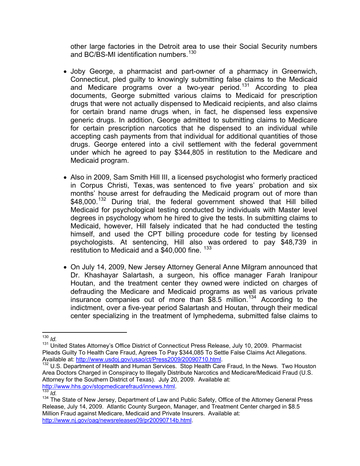other large factories in the Detroit area to use their Social Security numbers and BC/BS-MI identification numbers.<sup>130</sup>

- Joby George, a pharmacist and part-owner of a pharmacy in Greenwich, Connecticut, pled guilty to knowingly submitting false claims to the Medicaid and Medicare programs over a two-year period.<sup>[131](#page-19-0)</sup> According to plea documents, George submitted various claims to Medicaid for prescription drugs that were not actually dispensed to Medicaid recipients, and also claims for certain brand name drugs when, in fact, he dispensed less expensive generic drugs. In addition, George admitted to submitting claims to Medicare for certain prescription narcotics that he dispensed to an individual while accepting cash payments from that individual for additional quantities of those drugs. George entered into a civil settlement with the federal government under which he agreed to pay \$344,805 in restitution to the Medicare and Medicaid program.
- Also in 2009, Sam Smith Hill III, a licensed psychologist who formerly practiced in Corpus Christi, Texas, was sentenced to five years' probation and six months' house arrest for defrauding the Medicaid program out of more than \$48,000.<sup>[132](#page-19-1)</sup> During trial, the federal government showed that Hill billed Medicaid for psychological testing conducted by individuals with Master level degrees in psychology whom he hired to give the tests. In submitting claims to Medicaid, however, Hill falsely indicated that he had conducted the testing himself, and used the CPT billing procedure code for testing by licensed psychologists. At sentencing, Hill also was ordered to pay \$48,739 in restitution to Medicaid and a  $$40,000$  fine.  $^{133}$  $^{133}$  $^{133}$
- On July 14, 2009, New Jersey Attorney General Anne Milgram announced that Dr. Khashayar Salartash, a surgeon, his office manager Farah Iranipour Houtan, and the treatment center they owned were indicted on charges of defrauding the Medicare and Medicaid programs as well as various private insurance companies out of more than  $\overline{\$8.5}$  million.<sup>[134](#page-19-3)</sup> According to the indictment, over a five-year period Salartash and Houtan, through their medical center specializing in the treatment of lymphedema, submitted false claims to

 $\overline{a}$ <sup>130</sup> *Id.*

<span id="page-19-0"></span><sup>&</sup>lt;sup>131</sup> United States Attorney's Office District of Connecticut Press Release, July 10, 2009. Pharmacist Pleads Guilty To Health Care Fraud, Agrees To Pay \$344,085 To Settle False Claims Act Allegations. Available at:<http://www.usdoj.gov/usao/ct/Press2009/20090710.html>.<br><sup>132</sup> U.S. Department of Health and Human Services. Stop Health Care Fraud, In the News. Two Houston

<span id="page-19-1"></span>Area Doctors Charged in Conspiracy to Illegally Distribute Narcotics and Medicare/Medicaid Fraud (U.S. Attorney for the Southern District of Texas). July 20, 2009. Available at: [http://www.hhs.gov/stopmedicarefraud/innews.html.](http://www.hhs.gov/stopmedicarefraud/innews.html) [133](http://www.hhs.gov/stopmedicarefraud/innews.html) *Id.*

<span id="page-19-3"></span><span id="page-19-2"></span><sup>&</sup>lt;sup>134</sup> The State of New Jersey, Department of Law and Public Safety, Office of the Attorney General Press Release, July 14, 2009. Atlantic County Surgeon, Manager, and Treatment Center charged in \$8.5 Million Fraud against Medicare, Medicaid and Private Insurers. Available at: [http://www.nj.gov/oag/newsreleases09/pr20090714b.html.](http://www.nj.gov/oag/newsreleases09/pr20090714b.html)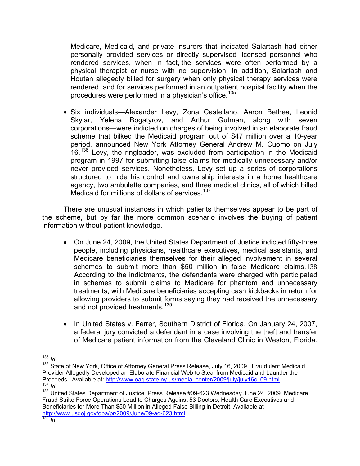Medicare, Medicaid, and private insurers that indicated Salartash had either personally provided services or directly supervised licensed personnel who rendered services, when in fact, the services were often performed by a physical therapist or nurse with no supervision. In addition, Salartash and Houtan allegedly billed for surgery when only physical therapy services were rendered, and for services performed in an outpatient hospital facility when the procedures were performed in a physician's office.<sup>135</sup>

• Six individuals—Alexander Levy, Zona Castellano, Aaron Bethea, Leonid Skylar, Yelena Bogatyrov, and Arthur Gutman, along with seven corporations—were indicted on charges of being involved in an elaborate fraud scheme that bilked the Medicaid program out of \$47 million over a 10-year period, announced New York Attorney General Andrew M. Cuomo on July 16.<sup>[136](#page-20-0)</sup> Levy, the ringleader, was excluded from participation in the Medicaid program in 1997 for submitting false claims for medically unnecessary and/or never provided services. Nonetheless, Levy set up a series of corporations structured to hide his control and ownership interests in a home healthcare agency, two ambulette companies, and three medical clinics, all of which billed Medicaid for millions of dollars of services.<sup>[137](#page-20-1)</sup>

There are unusual instances in which patients themselves appear to be part of the scheme, but by far the more common scenario involves the buying of patient information without patient knowledge.

- On June 24, 2009, the United States Department of Justice indicted fifty-three people, including physicians, healthcare executives, medical assistants, and Medicare beneficiaries themselves for their alleged involvement in several schemes to submit more than \$50 million in false Medicare claims.[138](#page-20-2) According to the indictments, the defendants were charged with participated in schemes to submit claims to Medicare for phantom and unnecessary treatments, with Medicare beneficiaries accepting cash kickbacks in return for allowing providers to submit forms saying they had received the unnecessary and not provided treatments.<sup>[139](#page-20-3)</sup>
- In United States v. Ferrer, Southern District of Florida, On January 24, 2007, a federal jury convicted a defendant in a case involving the theft and transfer of Medicare patient information from the Cleveland Clinic in Weston, Florida.

 $\overline{a}$ <sup>135</sup> *Id.*

<span id="page-20-0"></span><sup>&</sup>lt;sup>136</sup> State of New York, Office of Attorney General Press Release, July 16, 2009. Fraudulent Medicaid Provider Allegedly Developed an Elaborate Financial Web to Steal from Medicaid and Launder the Proceeds. Available at: http://www.oag.state.ny.us/media center/2009/july/july16c 09.html.

<span id="page-20-3"></span><span id="page-20-2"></span><span id="page-20-1"></span>Proceeds. Available at: http://www.oag.state.net/2009.<br><sup>138</sup> United States Department of Justice. Press Release #09-623 Wednesday June 24, 2009. Medicare Fraud Strike Force Operations Lead to Charges Against 53 Doctors, Health Care Executives and Beneficiaries for More Than \$50 Million in Alleged False Billing in Detroit. Available at <http://www.usdoj.gov/opa/pr/2009/June/09-ag-623.html> <sup>139</sup> *Id.*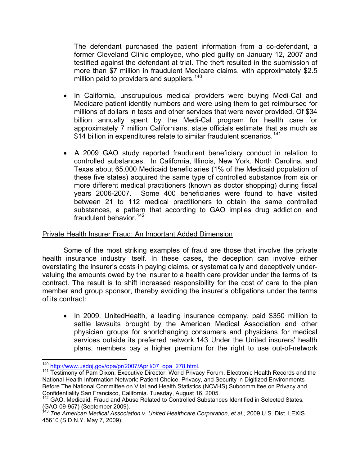The defendant purchased the patient information from a co-defendant, a former Cleveland Clinic employee, who pled guilty on January 12, 2007 and testified against the defendant at trial. The theft resulted in the submission of more than \$7 million in fraudulent Medicare claims, with approximately \$2.5 million paid to providers and suppliers.<sup>140</sup>

- In California, unscrupulous medical providers were buying Medi-Cal and Medicare patient identity numbers and were using them to get reimbursed for millions of dollars in tests and other services that were never provided. Of \$34 billion annually spent by the Medi-Cal program for health care for approximately 7 million Californians, state officials estimate that as much as \$14 billion in expenditures relate to similar fraudulent scenarios.<sup>[141](#page-21-0)</sup>
- A 2009 GAO study reported fraudulent beneficiary conduct in relation to controlled substances. In California, Illinois, New York, North Carolina, and Texas about 65,000 Medicaid beneficiaries (1% of the Medicaid population of these five states) acquired the same type of controlled substance from six or more different medical practitioners (known as doctor shopping) during fiscal years 2006-2007. Some 400 beneficiaries were found to have visited between 21 to 112 medical practitioners to obtain the same controlled substances, a pattern that according to GAO implies drug addiction and fraudulent behavior  $142$

# Private Health Insurer Fraud: An Important Added Dimension

Some of the most striking examples of fraud are those that involve the private health insurance industry itself. In these cases, the deception can involve either overstating the insurer's costs in paying claims, or systematically and deceptively undervaluing the amounts owed by the insurer to a health care provider under the terms of its contract. The result is to shift increased responsibility for the cost of care to the plan member and group sponsor, thereby avoiding the insurer's obligations under the terms of its contract:

• In 2009, UnitedHealth, a leading insurance company, paid \$350 million to settle lawsuits brought by the American Medical Association and other physician groups for shortchanging consumers and physicians for medical services outside its preferred network.[143](#page-21-2) Under the United insurers' health plans, members pay a higher premium for the right to use out-of-network

<sup>&</sup>lt;sup>140</sup> http://www.usdoj.gov/opa/pr/2007/April/07 opa 278.html.

<span id="page-21-0"></span><sup>141</sup> Testimony of Pam Dixon, Executive Director, World Privacy Forum. Electronic Health Records and the National Health Information Network: Patient Choice, Privacy, and Security in Digitized Environments Before The National Committee on Vital and Health Statistics (NCVHS) Subcommittee on Privacy and Confidentiality San Francisco, California. Tuesday, August 16, 2005.

<span id="page-21-1"></span><sup>142</sup> GAO. Medicaid: Fraud and Abuse Related to Controlled Substances Identified in Selected States*.* (GAO-09-957) (September 2009).

<span id="page-21-2"></span><sup>&</sup>lt;sup>143</sup> The American Medical Association v. United Healthcare Corporation, et al., 2009 U.S. Dist. LEXIS 45610 (S.D.N.Y. May 7, 2009).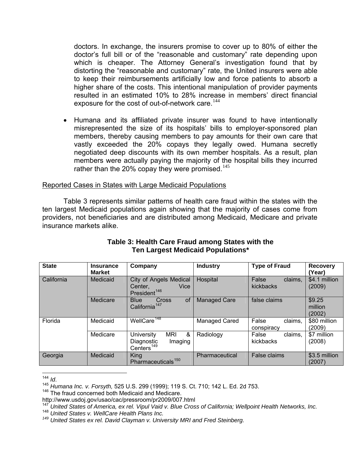doctors. In exchange, the insurers promise to cover up to 80% of either the doctor's full bill or of the "reasonable and customary" rate depending upon which is cheaper. The Attorney General's investigation found that by distorting the "reasonable and customary" rate, the United insurers were able to keep their reimbursements artificially low and force patients to absorb a higher share of the costs. This intentional manipulation of provider payments resulted in an estimated 10% to 28% increase in members' direct financial exposure for the cost of out-of-network care.  $144$ 

• Humana and its affiliated private insurer was found to have intentionally misrepresented the size of its hospitals' bills to employer-sponsored plan members, thereby causing members to pay amounts for their own care that vastly exceeded the 20% copays they legally owed. Humana secretly negotiated deep discounts with its own member hospitals. As a result, plan members were actually paying the majority of the hospital bills they incurred rather than the 20% copay they were promised.<sup>[145](#page-22-0)</sup>

#### Reported Cases in States with Large Medicaid Populations

Table 3 represents similar patterns of health care fraud within the states with the ten largest Medicaid populations again showing that the majority of cases come from providers, not beneficiaries and are distributed among Medicaid, Medicare and private insurance markets alike.

| <b>State</b> | <b>Insurance</b><br><b>Market</b> | Company                                                                   | <b>Industry</b>     | <b>Type of Fraud</b>           | <b>Recovery</b><br>(Year)   |
|--------------|-----------------------------------|---------------------------------------------------------------------------|---------------------|--------------------------------|-----------------------------|
| California   | Medicaid                          | City of Angels Medical<br>Center,<br>Vice<br>President <sup>146</sup>     | Hospital            | claims,<br>False<br>kickbacks  | \$4.1 million<br>(2009)     |
|              | Medicare                          | <sub>of</sub><br><b>Blue</b><br>Cross<br>California <sup>147</sup>        | <b>Managed Care</b> | false claims                   | \$9.25<br>million<br>(2002) |
| Florida      | Medicaid                          | WellCare <sup>148</sup>                                                   | Managed Cared       | claims,<br>False<br>conspiracy | \$80 million<br>(2009)      |
|              | Medicare                          | &<br>MRI<br>University<br>Diagnostic<br>Imaging<br>Centers <sup>149</sup> | Radiology           | claims,<br>False<br>kickbacks  | \$7 million<br>(2008)       |
| Georgia      | Medicaid                          | <b>King</b><br>Pharmaceuticals <sup>150</sup>                             | Pharmaceutical      | False claims                   | \$3.5 million<br>(2007)     |

#### **Table 3: Health Care Fraud among States with the Ten Largest Medicaid Populations\***

<span id="page-22-5"></span> $144$   $1d$ .

<span id="page-22-0"></span><sup>&</sup>lt;sup>145</sup> *Humana Inc. v. Forsyth,* 525 U.S. 299 (1999); 119 S. Ct. 710; 142 L. Ed. 2d 753.<br><sup>146</sup> The fraud concerned both Medicaid and Medicare.

<span id="page-22-1"></span>http://www.usdoj.gov/usao/cac/pressroom/pr2009/007.html

<span id="page-22-2"></span><sup>&</sup>lt;sup>147</sup> United States of America, ex rel. Vipul Vaid v. Blue Cross of California; Wellpoint Health Networks, Inc.<br><sup>148</sup> United States v. WellCare Health Plans Inc.

<span id="page-22-4"></span><span id="page-22-3"></span>*<sup>149</sup> United States ex rel. David Clayman v. University MRI and Fred Steinberg.*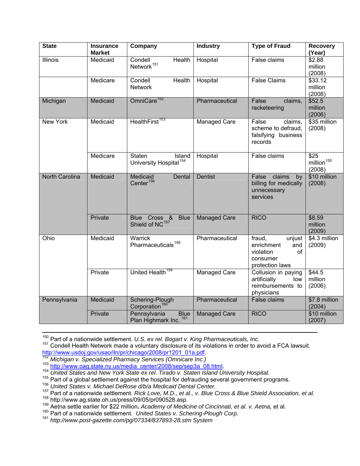| <b>State</b>    | <b>Insurance</b><br><b>Market</b> | Company                                                | <b>Industry</b>     | <b>Type of Fraud</b>                                                                    | <b>Recovery</b><br>(Year)                            |
|-----------------|-----------------------------------|--------------------------------------------------------|---------------------|-----------------------------------------------------------------------------------------|------------------------------------------------------|
| <b>Illinois</b> | Medicaid                          | Condell<br>Health<br>Network <sup>151</sup>            | Hospital            | False claims                                                                            | \$2.88<br>million<br>(2008)                          |
|                 | Medicare                          | Condell<br>Health<br><b>Network</b>                    | Hospital            | <b>False Claims</b>                                                                     | \$33.12<br>million<br>(2008)                         |
| Michigan        | Medicaid                          | OmniCare <sup>152</sup>                                | Pharmaceutical      | False<br>claims,<br>racketeering                                                        | \$52.5<br>million<br>(2006)                          |
| <b>New York</b> | Medicaid                          | HealthFirst <sup>153</sup>                             | <b>Managed Care</b> | False<br>claims,<br>scheme to defraud,<br>falsifying business<br>records                | \$35 million<br>(2008)                               |
|                 | Medicare                          | Staten<br>Island<br>University Hospital <sup>154</sup> | Hospital            | False claims                                                                            | $\overline{$25}$<br>million <sup>155</sup><br>(2008) |
| North Carolina  | Medicaid                          | Medicaid<br>Dental<br>Center <sup>156</sup>            | <b>Dentist</b>      | claims<br>False<br>by<br>billing for medically<br>unnecessary<br>services               | \$10 million<br>(2008)                               |
|                 | Private                           | Blue Cross & Blue<br>Shield of NC <sup>157</sup>       | <b>Managed Care</b> | <b>RICO</b>                                                                             | \$8.59<br>million<br>(2009)                          |
| Ohio            | Medicaid                          | Warrick<br>Pharmaceuticals <sup>158</sup>              | Pharmaceutical      | fraud,<br>unjust<br>enrichment<br>and<br>violation<br>οf<br>consumer<br>protection laws | \$4.3 million<br>(2009)                              |
|                 | Private                           | United Health <sup>159</sup>                           | <b>Managed Care</b> | Collusion in paying<br>artificially<br>low<br>reimbursements to<br>physicians           | \$44.5<br>million<br>(2006)                          |
| Pennsylvania    | Medicaid                          | Schering-Plough<br>Corporation <sup>160</sup>          | Pharmaceutical      | False claims                                                                            | \$7.8 million<br>(2004)                              |
|                 | Private                           | Pennsylvania<br><b>Blue</b><br>Plan Highmark Inc. 161  | <b>Managed Care</b> | <b>RICO</b>                                                                             | \$10 million<br>(2007)                               |

<sup>&</sup>lt;sup>150</sup> Part of a nationwide settlement. *U.S. ex rel. Bogart v. King Pharmaceuticals, Inc.*<br><sup>151</sup> Condell Health Network made a voluntary disclosure of its violations in order to avoid a FCA lawsuit.

<span id="page-23-2"></span>

<span id="page-23-3"></span>

<span id="page-23-1"></span><span id="page-23-0"></span>Condell Health Network made a voluntary disclosure of its violations in order to avoid a FCA is<br> [http://www.usdoj.gov/usao/iln/pr/chicago/2008/pr1201\\_01a.pdf](http://www.usdoj.gov/usao/iln/pr/chicago/2008/pr1201_01a.pdf).<br>
<sup>[152](http://www.usdoj.gov/usao/iln/pr/chicago/2008/pr1201_01a.pdf)</sup> Michigan v. Specialized Pharmacy Services (Omnicare Inc.

<span id="page-23-6"></span><span id="page-23-5"></span><span id="page-23-4"></span><sup>157</sup> Part of a nationwide settlement. *Rick Love, M.D., et al., v. Blue Cross & Blue Shield Association, et al.*<br><sup>158</sup> http://www.ag.state.oh.us/press/09/05/pr090528.asp.

<span id="page-23-8"></span><span id="page-23-7"></span><sup>159</sup> Aetna settle earlier for \$22 million. *Academy of Medicine of Cincinnati, et al. v. Aetna,* et al.<br><sup>160</sup> Part of a nationwide settlement. *United States v. Schering-Plough Corp.* 

<span id="page-23-10"></span><span id="page-23-9"></span><sup>160</sup> Part of a nationwide settlement. *United States v. Schering-Plough Corp.* <sup>161</sup> *http://www.post-gazette.com/pg/07334/837893-28.stm System*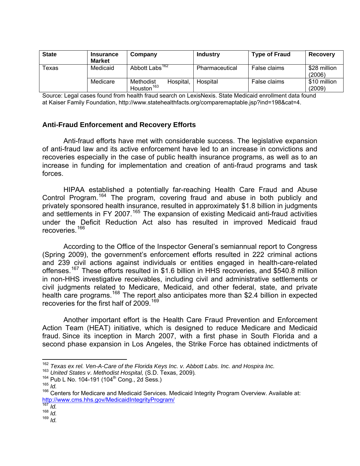| <b>State</b> | <b>Insurance</b><br><b>Market</b> | Company                                          | <b>Industry</b> | <b>Type of Fraud</b> | <b>Recovery</b>        |
|--------------|-----------------------------------|--------------------------------------------------|-----------------|----------------------|------------------------|
| Texas        | Medicaid                          | Abbott Labs <sup>162</sup>                       | Pharmaceutical  | False claims         | \$28 million<br>(2006) |
|              | Medicare                          | Hospital.<br>Methodist<br>Houston <sup>163</sup> | Hospital        | False claims         | \$10 million<br>(2009) |

Source: Legal cases found from health fraud search on LexisNexis. State Medicaid enrollment data found at Kaiser Family Foundation, http://www.statehealthfacts.org/comparemaptable.jsp?ind=198&cat=4.

## **Anti-Fraud Enforcement and Recovery Efforts**

 Anti-fraud efforts have met with considerable success. The legislative expansion of anti-fraud law and its active enforcement have led to an increase in convictions and recoveries especially in the case of public health insurance programs, as well as to an increase in funding for implementation and creation of anti-fraud programs and task forces.

 HIPAA established a potentially far-reaching Health Care Fraud and Abuse Control Program.<sup>[164](#page-24-2)</sup> The program, covering fraud and abuse in both publicly and privately sponsored health insurance, resulted in approximately \$1.8 billion in judgments and settlements in FY 2007.<sup>[165](#page-24-3)</sup> The expansion of existing Medicaid anti-fraud activities under the Deficit Reduction Act also has resulted in improved Medicaid fraud recoveries.<sup>[166](#page-24-4)</sup>

 According to the Office of the Inspector General's semiannual report to Congress (Spring 2009), the government's enforcement efforts resulted in 222 criminal actions and 239 civil actions against individuals or entities engaged in health-care-related offenses.<sup>[167](#page-24-5)</sup> These efforts resulted in \$1.6 billion in HHS recoveries, and \$540.8 million in non-HHS investigative receivables, including civil and administrative settlements or civil judgments related to Medicare, Medicaid, and other federal, state, and private health care programs.<sup>[168](#page-24-6)</sup> The report also anticipates more than \$2.4 billion in expected recoveries for the first half of 2009.<sup>[169](#page-24-7)</sup>

 Another important effort is the Health Care Fraud Prevention and Enforcement Action Team (HEAT) initiative, which is designed to reduce Medicare and Medicaid fraud. Since its inception in March 2007, with a first phase in South Florida and a second phase expansion in Los Angeles, the Strike Force has obtained indictments of

 $\overline{a}$ 

<span id="page-24-0"></span><sup>&</sup>lt;sup>162</sup> Texas ex rel. Ven-A-Care of the Florida Keys Inc. v. Abbott Labs. Inc. and Hospira Inc.<br><sup>163</sup> United States v. Methodist Hospital, (S.D. Texas, 2009).<br><sup>164</sup> Pub L No. 104-191 (104<sup>th</sup> Cong., 2d Sess.)<br><sup>165</sup> Id

<span id="page-24-1"></span>

<span id="page-24-2"></span>

<span id="page-24-3"></span>

<span id="page-24-4"></span><sup>&</sup>lt;sup>166</sup> Centers for Medicare and Medicaid Services. Medicaid Integrity Program Overview. Available at: <http://www.cms.hhs.gov/MedicaidIntegrityProgram/> [167](http://www.cms.hhs.gov/MedicaidIntegrityProgram/) *Id.*

<span id="page-24-5"></span> $168 \frac{191}{10}$ 

<span id="page-24-7"></span><span id="page-24-6"></span><sup>169</sup> *Id.*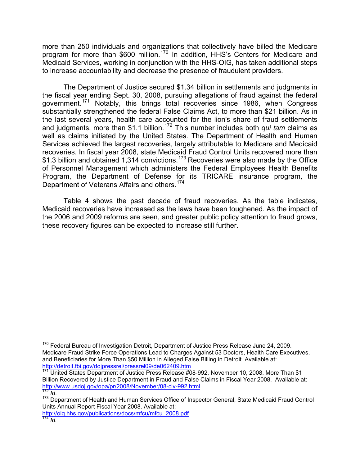more than 250 individuals and organizations that collectively have billed the Medicare program for more than \$600 million.<sup>[170](#page-25-0)</sup> In addition, HHS's Centers for Medicare and Medicaid Services, working in conjunction with the HHS-OIG, has taken additional steps to increase accountability and decrease the presence of fraudulent providers.

 The Department of Justice secured \$1.34 billion in settlements and judgments in the fiscal year ending Sept. 30, 2008, pursuing allegations of fraud against the federal government.[171](#page-25-1) Notably, this brings total recoveries since 1986, when Congress substantially strengthened the federal False Claims Act, to more than \$21 billion. As in the last several years, health care accounted for the lion's share of fraud settlements and judgments, more than \$1.1 billion.<sup>[172](#page-25-2)</sup> This number includes both *qui tam* claims as well as claims initiated by the United States. The Department of Health and Human Services achieved the largest recoveries, largely attributable to Medicare and Medicaid recoveries. In fiscal year 2008, state Medicaid Fraud Control Units recovered more than \$1.3 billion and obtained 1,314 convictions.<sup>[173](#page-25-3)</sup> Recoveries were also made by the Office of Personnel Management which administers the Federal Employees Health Benefits Program, the Department of Defense for its TRICARE insurance program, the Department of Veterans Affairs and others.[174](#page-25-4)

 Table 4 shows the past decade of fraud recoveries. As the table indicates, Medicaid recoveries have increased as the laws have been toughened. As the impact of the 2006 and 2009 reforms are seen, and greater public policy attention to fraud grows, these recovery figures can be expected to increase still further.

<span id="page-25-4"></span>[http://oig.hhs.gov/publications/docs/mfcu/mfcu\\_2008.pdf](http://oig.hhs.gov/publications/docs/mfcu/mfcu_2008.pdf) [174](http://oig.hhs.gov/publications/docs/mfcu/mfcu_2008.pdf) *Id.* 

 $\overline{a}$ 

<span id="page-25-0"></span><sup>&</sup>lt;sup>170</sup> Federal Bureau of Investigation Detroit, Department of Justice Press Release June 24, 2009. Medicare Fraud Strike Force Operations Lead to Charges Against 53 Doctors, Health Care Executives, and Beneficiaries for More Than \$50 Million in Alleged False Billing in Detroit. Available at:<br>http://detroit.fbi.gov/dojpressrel/pressrel09/de062409.htm

<span id="page-25-1"></span><sup>&</sup>lt;sup>171</sup> United States Department of Justice Press Release #08-992, November 10, 2008. More Than \$1 Billion Recovered by Justice Department in Fraud and False Claims in Fiscal Year 2008. Available at:<br>http://www.usdoj.gov/opa/pr/2008/November/08-civ-992.html.

<span id="page-25-3"></span><span id="page-25-2"></span><sup>&</sup>lt;sup>[172](http://www.usdoj.gov/opa/pr/2008/November/08-civ-992.html)</sup> *Id.*<br><sup>173</sup> Department of Health and Human Services Office of Inspector General, State Medicaid Fraud Control Units Annual Report Fiscal Year 2008. Available at: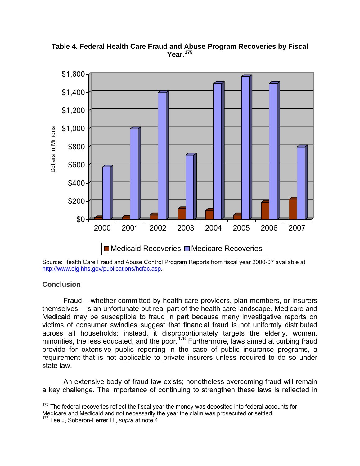

**Table 4. Federal Health Care Fraud and Abuse Program Recoveries by Fiscal Year.[175](#page-26-0)**

Source: Health Care Fraud and Abuse Control Program Reports from fiscal year 2000-07 available at [http://www.oig.hhs.gov/publications/hcfac.asp.](http://www.oig.hhs.gov/publications/hcfac.asp)

## **Conclusion**

 Fraud – whether committed by health care providers, plan members, or insurers themselves – is an unfortunate but real part of the health care landscape. Medicare and Medicaid may be susceptible to fraud in part because many investigative reports on victims of consumer swindles suggest that financial fraud is not uniformly distributed across all households; instead, it disproportionately targets the elderly, women, minorities, the less educated, and the poor.<sup>[176](#page-26-1)</sup> Furthermore, laws aimed at curbing fraud provide for extensive public reporting in the case of public insurance programs, a requirement that is not applicable to private insurers unless required to do so under state law.

An extensive body of fraud law exists; nonetheless overcoming fraud will remain a key challenge. The importance of continuing to strengthen these laws is reflected in

<span id="page-26-0"></span> $\overline{a}$  $175$  The federal recoveries reflect the fiscal year the money was deposited into federal accounts for Medicare and Medicaid and not necessarily the year the claim was prosecuted or settled. 176 Lee J, Soberon-Ferrer H., *supra* at note 4.

<span id="page-26-1"></span>